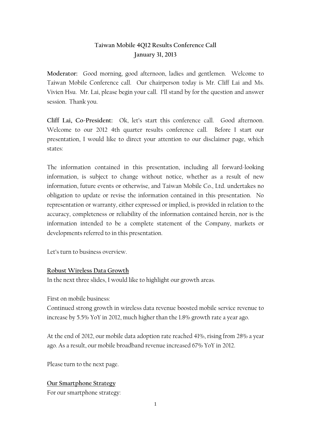# **Taiwan Mobile 4Q12 Results Conference Call January 31, 2013**

**Moderator:** Good morning, good afternoon, ladies and gentlemen. Welcome to Taiwan Mobile Conference call. Our chairperson today is Mr. Cliff Lai and Ms. Vivien Hsu. Mr. Lai, please begin your call. I'll stand by for the question and answer session. Thank you.

**Cliff Lai, Co-President:** Ok, let's start this conference call.Good afternoon. Welcome to our 2012 4th quarter results conference call. Before I start our presentation, I would like to direct your attention to our disclaimer page, which states:

The information contained in this presentation, including all forward-looking information, is subject to change without notice, whether as a result of new information, future events or otherwise, and Taiwan Mobile Co., Ltd. undertakes no obligation to update or revise the information contained in this presentation. No representation or warranty, either expressed or implied, is provided in relation to the accuracy, completeness or reliability of the information contained herein, nor is the information intended to be a complete statement of the Company, markets or developments referred to in this presentation.

Let's turn to business overview.

## **Robust Wireless Data Growth**

In the next three slides, I would like to highlight our growth areas.

First on mobile business:

Continued strong growth in wireless data revenue boosted mobile service revenue to increase by 5.5% YoY in 2012, much higher than the 1.8% growth rate a year ago.

At the end of 2012, our mobile data adoption rate reached 41%, rising from 28% a year ago. As a result, our mobile broadband revenue increased 67% YoY in 2012.

Please turn to the next page.

## **Our Smartphone Strategy**

For our smartphone strategy: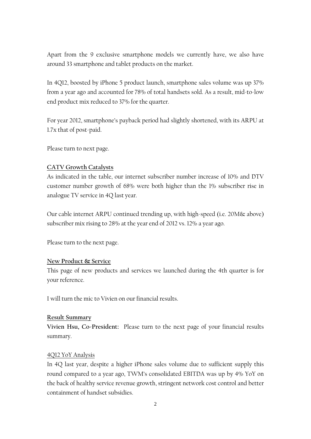Apart from the 9 exclusive smartphone models we currently have, we also have around 33 smartphone and tablet products on the market.

In 4Q12, boosted by iPhone 5 product launch, smartphone sales volume was up 37% from a year ago and accounted for 78% of total handsets sold. As a result, mid-to-low end product mix reduced to 37% for the quarter.

For year 2012, smartphone's payback period had slightly shortened, with its ARPU at 1.7x that of post-paid.

Please turn to next page.

## **CATV Growth Catalysts**

As indicated in the table, our internet subscriber number increase of 10% and DTV customer number growth of 68% were both higher than the 1% subscriber rise in analogue TV service in 4Q last year.

Our cable internet ARPU continued trending up, with high-speed (i.e. 20M& above) subscriber mix rising to 28% at the year end of 2012 vs. 12% a year ago.

Please turn to the next page.

## **New Product & Service**

This page of new products and services we launched during the 4th quarter is for your reference.

I will turn the mic to Vivien on our financial results.

## **Result Summary**

**Vivien Hsu, Co-President:** Please turn to the next page of your financial results summary.

## 4Q12 YoY Analysis

In 4Q last year, despite a higher iPhone sales volume due to sufficient supply this round compared to a year ago, TWM's consolidated EBITDA was up by 4% YoY on the back of healthy service revenue growth, stringent network cost control and better containment of handset subsidies.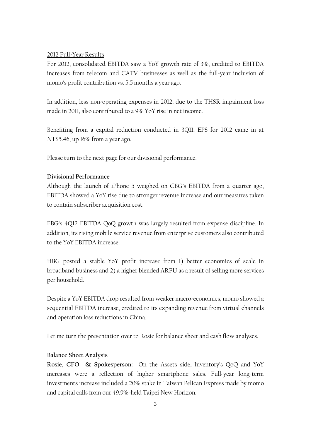## 2012 Full-Year Results

For 2012, consolidated EBITDA saw a YoY growth rate of 3%, credited to EBITDA increases from telecom and CATV businesses as well as the full-year inclusion of momo's profit contribution vs. 5.5 months a year ago.

In addition, less non-operating expenses in 2012, due to the THSR impairment loss made in 2011, also contributed to a 9% YoY rise in net income.

Benefiting from a capital reduction conducted in 3Q11, EPS for 2012 came in at NT\$5.46, up 16% from a year ago.

Please turn to the next page for our divisional performance.

## **Divisional Performance**

Although the launch of iPhone 5 weighed on CBG's EBITDA from a quarter ago, EBITDA showed a YoY rise due to stronger revenue increase and our measures taken to contain subscriber acquisition cost.

EBG's 4Q12 EBITDA QoQ growth was largely resulted from expense discipline. In addition, its rising mobile service revenue from enterprise customers also contributed to the YoY EBITDA increase.

HBG posted a stable YoY profit increase from 1) better economies of scale in broadband business and 2) a higher blended ARPU as a result of selling more services per household.

Despite a YoY EBITDA drop resulted from weaker macro-economics, momo showed a sequential EBITDA increase, credited to its expanding revenue from virtual channels and operation loss reductions in China.

Let me turn the presentation over to Rosie for balance sheet and cash flow analyses.

## **Balance Sheet Analysis**

**Rosie, CFO & Spokesperson:** On the Assets side, Inventory's QoQ and YoY increases were a reflection of higher smartphone sales. Full-year long-term investments increase included a 20% stake in Taiwan Pelican Express made by momo and capital calls from our 49.9%-held Taipei New Horizon.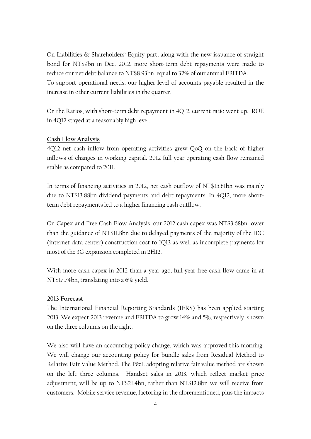On Liabilities & Shareholders' Equity part, along with the new issuance of straight bond for NT\$9bn in Dec. 2012, more short-term debt repayments were made to reduce our net debt balance to NT\$8.93bn, equal to 32% of our annual EBITDA. To support operational needs, our higher level of accounts payable resulted in the increase in other current liabilities in the quarter.

On the Ratios, with short-term debt repayment in 4Q12, current ratio went up. ROE in 4Q12 stayed at a reasonably high level.

## **Cash Flow Analysis**

4Q12 net cash inflow from operating activities grew QoQ on the back of higher inflows of changes in working capital. 2012 full-year operating cash flow remained stable as compared to 2011.

In terms of financing activities in 2012, net cash outflow of NT\$15.81bn was mainly due to NT\$13.88bn dividend payments and debt repayments. In 4Q12, more shortterm debt repayments led to a higher financing cash outflow.

On Capex and Free Cash Flow Analysis, our 2012 cash capex was NT\$3.68bn lower than the guidance of NT\$11.8bn due to delayed payments of the majority of the IDC (internet data center) construction cost to 1Q13 as well as incomplete payments for most of the 3G expansion completed in 2H12.

With more cash capex in 2012 than a year ago, full-year free cash flow came in at NT\$17.74bn, translating into a 6% yield.

## **2013 Forecast**

The International Financial Reporting Standards (IFRS) has been applied starting 2013. We expect 2013 revenue and EBITDA to grow 14% and 5%, respectively, shown on the three columns on the right.

We also will have an accounting policy change, which was approved this morning. We will change our accounting policy for bundle sales from Residual Method to Relative Fair Value Method. The P&L adopting relative fair value method are shown on the left three columns. Handset sales in 2013, which reflect market price adjustment, will be up to NT\$21.4bn, rather than NT\$12.8bn we will receive from customers. Mobile service revenue, factoring in the aforementioned, plus the impacts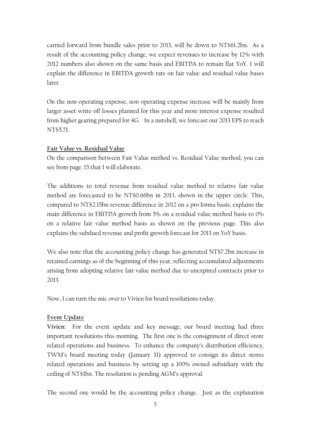carried forward from bundle sales prior to 2013, will be down to NT\$61.2bn. As a result of the accounting policy change, we expect revenues to increase by 12% with 2012 numbers also shown on the same basis and EBITDA to remain flat YoY. I will explain the difference in EBITDA growth rate on fair value and residual value bases later.

On the non-operating expense, non-operating expense increase will be mainly from larger asset write-off losses planned for this year and more interest expense resulted from higher gearing prepared for 4G. In a nutshell, we forecast our 2013 EPS to reach NT\$5.71.

## **Fair Value vs. Residual Value**

On the comparison between Fair Value method vs. Residual Value method, you can see from page. 15 that I will elaborate.

The additions to total revenue from residual value method to relative fair value method are forecasted to be NT\$0.66bn in 2013, shown in the upper circle. This, compared to NT\$2.15bn revenue difference in 2012 on a pro forma basis, explains the main difference in EBITDA growth from 5% on a residual value method basis to 0% on a relative fair value method basis as shown on the previous page. This also explains the subdued revenue and profit growth forecast for 2013 on YoY basis.

We also note that the accounting policy change has generated NT\$7.2bn increase in retained earnings as of the beginning of this year, reflecting accumulated adjustments arising from adopting relative fair value method due to unexpired contracts prior to 2013.

Now, I can turn the mic over to Vivien for board resolutions today.

## **Event Update**

**Vivien:** For the event update and key message, our board meeting had three important resolutions this morning. The first one is the consignment of direct store related operations and business. To enhance the company's distribution efficiency, TWM's board meeting today (January 31) approved to consign its direct stores related operations and business by setting up a 100% owned subsidiary with the ceiling of NT\$1bn. The resolution is pending AGM's approval.

The second one would be the accounting policy change. Just as the explanation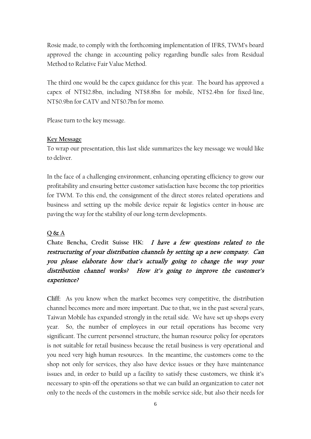Rosie made, to comply with the forthcoming implementation of IFRS, TWM's board approved the change in accounting policy regarding bundle sales from Residual Method to Relative Fair Value Method.

The third one would be the capex guidance for this year. The board has approved a capex of NT\$12.8bn, including NT\$8.8bn for mobile, NT\$2.4bn for fixed-line, NT\$0.9bn for CATV and NT\$0.7bn for momo.

Please turn to the key message.

#### **Key Message**

To wrap our presentation, this last slide summarizes the key message we would like to deliver.

In the face of a challenging environment, enhancing operating efficiency to grow our profitability and ensuring better customer satisfaction have become the top priorities for TWM. To this end, the consignment of the direct stores related operations and business and setting up the mobile device repair & logistics center in-house are paving the way for the stability of our long-term developments.

## **Q & A**

# **Chate Bencha, Credit Suisse HK:** I have a few questions related to the restructuring of your distribution channels by setting up a new company. Can you please elaborate how that's actually going to change the way your distribution channel works? How it's going to improve the customer's experience?

**Cliff:** As you know when the market becomes very competitive, the distribution channel becomes more and more important. Due to that, we in the past several years, Taiwan Mobile has expanded strongly in the retail side. We have set up shops every year. So, the number of employees in our retail operations has become very significant. The current personnel structure, the human resource policy for operators is not suitable for retail business because the retail business is very operational and you need very high human resources. In the meantime, the customers come to the shop not only for services, they also have device issues or they have maintenance issues and, in order to build up a facility to satisfy these customers, we think it's necessary to spin-off the operations so that we can build an organization to cater not only to the needs of the customers in the mobile service side, but also their needs for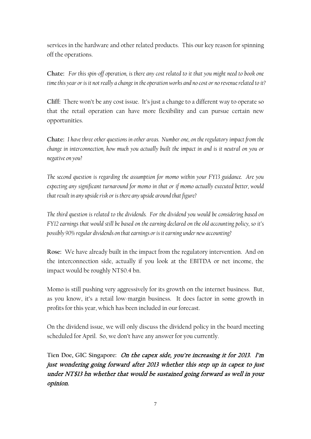services in the hardware and other related products. This our key reason for spinning off the operations.

**Chate:** *For this spin-off operation, is there any cost related to it that you might need to book one time this year or is it not really a change in the operation works and no cost or no revenue related to it?* 

**Cliff:** There won't be any cost issue. It's just a change to a different way to operate so that the retail operation can have more flexibility and can pursue certain new opportunities.

**Chate:** *I have three other questions in other areas. Number one, on the regulatory impact from the change in interconnection, how much you actually built the impact in and is it neutral on you or negative on you?* 

*The second question is regarding the assumption for momo within your FY13 guidance. Are you expecting any significant turnaround for momo in that or if momo actually executed better, would that result in any upsiderisk or is there any upside around that figure?* 

*The third question is related to the dividends. For the dividend you would be considering based on FY12 earnings that would still be based on the earning declared on the old accounting policy, so it's possibly 90% regular dividends on that earnings or is it earning under new accounting?*

**Rose:** We have already built in the impact from the regulatory intervention. And on the interconnection side, actually if you look at the EBITDA or net income, the impact would be roughly NT\$0.4 bn.

Momo is still pushing very aggressively for its growth on the internet business. But, as you know, it's a retail low-margin business. It does factor in some growth in profits for this year, which has been included in our forecast.

On the dividend issue, we will only discuss the dividend policy in the board meeting scheduled for April. So, we don't have any answer for you currently.

**Tien Doe, GIC Singapore:** On the capex side, you're increasing it for 2013. I'm just wondering going forward after 2013 whether this step up in capex to just under NT\$13 bn whether that would be sustained going forward as well in your opinion.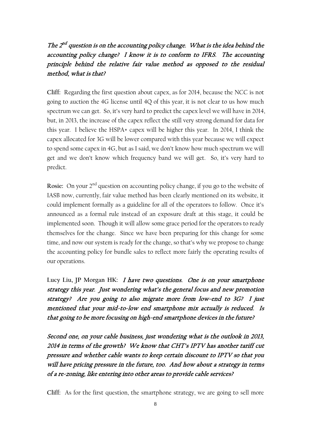# The  $2^{nd}$  question is on the accounting policy change. What is the idea behind the accounting policy change? I know it is to conform to IFRS. The accounting principle behind the relative fair value method as opposed to the residual method, what is that?

**Cliff:** Regarding the first question about capex, as for 2014, because the NCC is not going to auction the 4G license until 4Q of this year, it is not clear to us how much spectrum we can get. So, it's very hard to predict the capex level we will have in 2014, but, in 2013, the increase of the capex reflect the still very strong demand for data for this year. I believe the HSPA+ capex will be higher this year. In 2014, I think the capex allocated for 3G will be lower compared with this year because we will expect to spend some capex in 4G, but as I said, we don't know how much spectrum we will get and we don't know which frequency band we will get. So, it's very hard to predict.

**Rosie:** On your 2<sup>nd</sup> question on accounting policy change, if you go to the website of IASB now, currently, fair value method has been clearly mentioned on its website, it could implement formally as a guideline for all of the operators to follow. Once it's announced as a formal rule instead of an exposure draft at this stage, it could be implemented soon. Though it will allow some grace period for the operators to ready themselves for the change. Since we have been preparing for this change for some time, and now our system is ready for the change, so that's why we propose to change the accounting policy for bundle sales to reflect more fairly the operating results of our operations.

Lucy Liu, JP Morgan HK: *I have two questions. One is on your smartphone* strategy this year. Just wondering what's the general focus and new promotion strategy? Are you going to also migrate more from low-end to 3G? I just mentioned that your mid-to-low end smartphone mix actually is reduced. Is that going to be more focusing on high-end smartphone devices in the future?

Second one, on your cable business, just wondering what is the outlook in 2013, 2014 in terms of the growth? We know that CHT's IPTV has another tariff cut pressure and whether cable wants to keep certain discount to IPTV so that you will have pricing pressure in the future, too. And how about a strategy in terms of a re-zoning, like entering into other areas to provide cable services?

**Cliff:** As for the first question, the smartphone strategy, we are going to sell more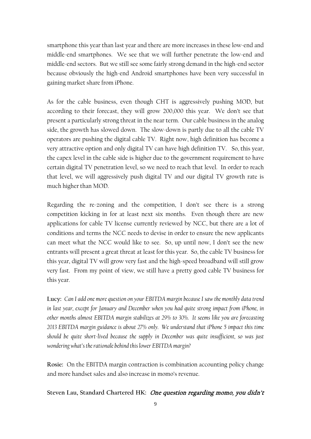smartphone this year than last year and there are more increases in these low-end and middle-end smartphones. We see that we will further penetrate the low-end and middle-end sectors. But we still see some fairly strong demand in the high-end sector because obviously the high-end Android smartphones have been very successful in gaining market share from iPhone.

As for the cable business, even though CHT is aggressively pushing MOD, but according to their forecast, they will grow 200,000 this year. We don't see that present a particularly strong threat in the near term. Our cable business in the analog side, the growth has slowed down. The slow-down is partly due to all the cable TV operators are pushing the digital cable TV. Right now, high definition has become a very attractive option and only digital TV can have high definition TV. So, this year, the capex level in the cable side is higher due to the government requirement to have certain digital TV penetration level, so we need to reach that level. In order to reach that level, we will aggressively push digital TV and our digital TV growth rate is much higher than MOD.

Regarding the re-zoning and the competition, I don't see there is a strong competition kicking in for at least next six months. Even though there are new applications for cable TV license currently reviewed by NCC, but there are a lot of conditions and terms the NCC needs to devise in order to ensure the new applicants can meet what the NCC would like to see. So, up until now, I don't see the new entrants will present a great threat at least for this year. So, the cable TV business for this year, digital TV will grow very fast and the high-speed broadband will still grow very fast. From my point of view, we still have a pretty good cable TV business for this year.

**Lucy:** *Can I add one more question on your EBITDA margin because I saw the monthly data trend in last year, except for January and December when you had quite strong impact from iPhone, in other months almost EBITDA margin stabilizes at 29% to 30%. It seems like you are forecasting 2013 EBITDA margin guidance is about 27% only. We understand that iPhone 5 impact this time should be quite short-lived because the supply in December was quite insufficient, so was just wondering what's the rationale behind this lower EBITDA margin?*

**Rosie:** On the EBITDA margin contraction is combination accounting policy change and more handset sales and also increase in momo's revenue.

**Steven Lau, Standard Chartered HK:** One question regarding momo, you didn't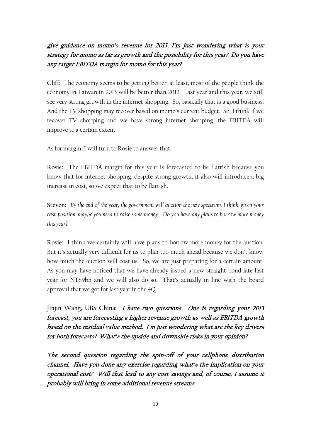# give guidance on momo's revenue for 2013, I'm just wondering what is your strategy for momo as far as growth and the possibility for this year? Do you have any target EBITDA margin for momo for this year?

**Cliff:** The economy seems to be getting better; at least, most of the people think the economy in Taiwan in 2013 will be better than 2012. Last year and this year, we still see very strong growth in the internet shopping. So, basically that is a good business. And the TV shopping may recover based on momo's current budget. So, I think if we recover TV shopping and we have strong internet shopping, the EBITDA will improve to a certain extent.

As for margin, I will turn to Rosie to answer that.

**Rosie:** The EBITDA margin for this year is forecasted to be flattish because you know that for internet shopping, despite strong growth, it also will introduce a big increase in cost, so we expect that to be flattish.

**Steven:** *By the end of the year, the government will auction the new spectrum. I think, given your cash position, maybe you need to raise some money. Do you have any plans to borrow more money this year?*

**Rosie:** I think we certainly will have plans to borrow more money for the auction. But it's actually very difficult for us to plan too much ahead because we don't know how much the auction will cost us. So, we are just preparing for a certain amount. As you may have noticed that we have already issued a new straight bond late last year for NT\$9bn and we will also do so. That's actually in line with the board approval that we got for last year in the 4Q.

**Jinjin Wang, UBS China:** I have two questions. One is regarding your 2013 forecast; you are forecasting a higher revenue growth as well as EBITDA growth based on the residual value method. I'm just wondering what are the key drivers for both forecasts? What's the upside and downside risks in your opinion?

The second question regarding the spin-off of your cellphone distribution channel. Have you done any exercise regarding what's the implication on your operational cost? Will that lead to any cost savings and, of course, I assume it probably will bring in some additional revenue streams.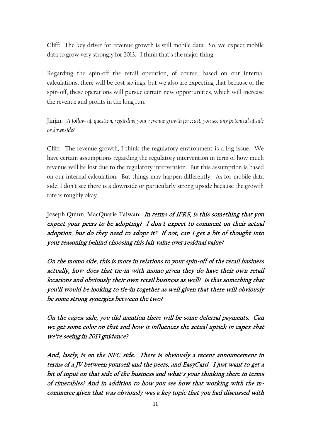**Cliff:** The key driver for revenue growth is still mobile data. So, we expect mobile data to grow very strongly for 2013. I think that's the major thing.

Regarding the spin-off the retail operation, of course, based on our internal calculations, there will be cost savings, but we also are expecting that because of the spin-off, these operations will pursue certain new opportunities, which will increase the revenue and profits in the long run.

**Jinjin:** *A follow-up question, regarding your revenue growth forecast, you see any potential upside or downside?*

**Cliff:** The revenue growth, I think the regulatory environment is a big issue. We have certain assumptions regarding the regulatory intervention in term of how much revenue will be lost due to the regulatory intervention. But this assumption is based on our internal calculation. But things may happen differently. As for mobile data side, I don't see there is a downside or particularly strong upside because the growth rate is roughly okay.

**Joseph Quinn, MacQuarie Taiwan:** In terms of IFRS, is this something that you expect your peers to be adopting? I don't expect to comment on their actual adoption, but do they need to adopt it? If not, can I get a bit of thought into your reasoning behind choosing this fair value over residual value?

On the momo side, this is more in relations to your spin-off of the retail business actually, how does that tie-in with momo given they do have their own retail locations and obviously their own retail business as well? Is that something that you'll would be looking to tie-in together as well given that there will obviously be some strong synergies between the two?

On the capex side, you did mention there will be some deferral payments. Can we get some color on that and how it influences the actual uptick in capex that we're seeing in 2013 guidance?

And, lastly, is on the NFC side. There is obviously a recent announcement in terms of a JV between yourself and the peers, and EasyCard. I just want to get a bit of input on that side of the business and what's your thinking there in terms of timetables? And in addition to how you see how that working with the mcommerce given that was obviously was a key topic that you had discussed with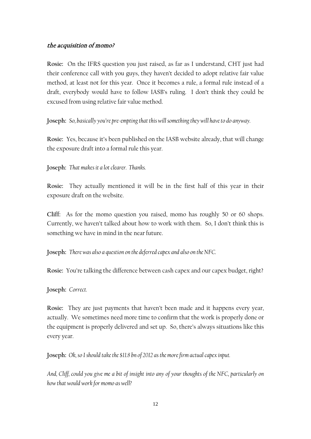## the acquisition of momo?

**Rosie:** On the IFRS question you just raised, as far as I understand, CHT just had their conference call with you guys, they haven't decided to adopt relative fair value method, at least not for this year. Once it becomes a rule, a formal rule instead of a draft, everybody would have to follow IASB's ruling. I don't think they could be excused from using relative fair value method.

**Joseph:** *So, basically you're pre-empting that this will something they will have to do anyway.*

**Rosie:** Yes, because it's been published on the IASB website already, that will change the exposure draft into a formal rule this year.

**Joseph:** *That makes it a lot clearer. Thanks.*

**Rosie:** They actually mentioned it will be in the first half of this year in their exposure draft on the website.

**Cliff:** As for the momo question you raised, momo has roughly 50 or 60 shops. Currently, we haven't talked about how to work with them. So, I don't think this is something we have in mind in the near future.

**Joseph:** *There was also a question on the deferred capex and also on the NFC.*

**Rosie:** You're talking the difference between cash capex and our capex budget, right?

**Joseph:** *Correct.*

**Rosie:** They are just payments that haven't been made and it happens every year, actually. We sometimes need more time to confirm that the work is properly done or the equipment is properly delivered and set up. So, there's always situations like this every year.

**Joseph:** *Ok, so I should take the \$11.8 bn of 2012 as themore firm actual capex input.* 

*And, Cliff, could you give me a bit of insight into any of your thoughts of the NFC, particularly on how that would work for momo as well?*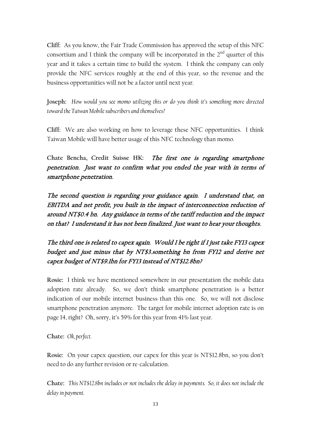**Cliff:** As you know, the Fair Trade Commission has approved the setup of this NFC consortium and I think the company will be incorporated in the  $2<sup>nd</sup>$  quarter of this year and it takes a certain time to build the system. I think the company can only provide the NFC services roughly at the end of this year, so the revenue and the business opportunities will not be a factor until next year.

**Joseph:** *How would you see momo utilizing this or do you think it's something more directed toward the Taiwan Mobile subscribers and themselves?*

**Cliff:** We are also working on how to leverage these NFC opportunities. I think Taiwan Mobile will have better usage of this NFC technology than momo.

**Chate Bencha, Credit Suisse HK:** The first one is regarding smartphone penetration. Just want to confirm what you ended the year with in terms of smartphone penetration.

The second question is regarding your guidance again. I understand that, on EBITDA and net profit, you built in the impact of interconnection reduction of around NT\$0.4 bn. Any guidance in terms of the tariff reduction and the impact on that? I understand it has not been finalized. Just want to hear your thoughts.

The third one is related to capex again. Would I be right if I just take FY13 capex budget and just minus that by NT\$3.something bn from FY12 and derive net capex budget of NT\$9.1bn for FY13 instead of NT\$12.8bn?

**Rosie:** I think we have mentioned somewhere in our presentation the mobile data adoption rate already. So, we don't think smartphone penetration is a better indication of our mobile internet business than this one. So, we will not disclose smartphone penetration anymore. The target for mobile internet adoption rate is on page 14, right? Oh, sorry, it's 59% for this year from 41% last year.

**Chate:** *Ok, perfect.*

**Rosie:** On your capex question, our capex for this year is NT\$12.8bn, so you don't need to do any further revision or re-calculation.

**Chate:** *This NT\$12.8bn includes or not includes the delay in payments. So, it does not include the delay in payment.*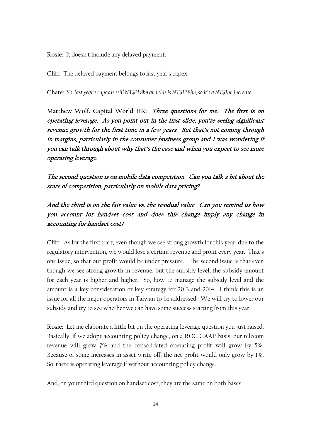**Rosie:** It doesn't include any delayed payment.

**Cliff:** The delayed payment belongs to last year's capex.

**Chate:** *So, last year's capex is still NT\$11.8bn and this is NT\$12.8bn, so it's a NT\$1bn increase.*

**Matthew Wolf. Capital World HK:** Three questions for me. The first is on operating leverage. As you point out in the first slide, you're seeing significant revenue growth for the first time in a few years. But that's not coming through in margins, particularly in the consumer business group and I was wondering if you can talk through about why that's the case and when you expect to see more operating leverage.

The second question is on mobile data competition. Can you talk a bit about the state of competition, particularly on mobile data pricing?

And the third is on the fair value vs. the residual value. Can you remind us how you account for handset cost and does this change imply any change in accounting for handset cost?

**Cliff:** As for the first part, even though we see strong growth for this year, due to the regulatory intervention, we would lose a certain revenue and profit every year. That's one issue, so that our profit would be under pressure. The second issue is that even though we see strong growth in revenue, but the subsidy level, the subsidy amount for each year is higher and higher. So, how to manage the subsidy level and the amount is a key consideration or key strategy for 2013 and 2014. I think this is an issue for all the major operators in Taiwan to be addressed. We will try to lower our subsidy and try to see whether we can have some success starting from this year.

**Rosie:** Let me elaborate a little bit on the operating leverage question you just raised. Basically, if we adopt accounting policy change, on a ROC GAAP basis, our telecom revenue will grow 7% and the consolidated operating profit will grow by 5%. Because of some increases in asset write-off, the net profit would only grow by 1%. So, there is operating leverage if without accounting policy change.

And, on your third question on handset cost, they are the same on both bases.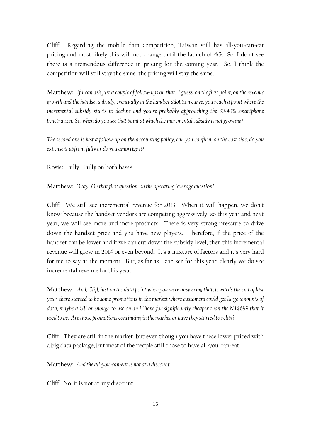**Cliff:** Regarding the mobile data competition, Taiwan still has all-you-can-eat pricing and most likely this will not change until the launch of 4G. So, I don't see there is a tremendous difference in pricing for the coming year. So, I think the competition will still stay the same, the pricing will stay the same.

**Matthew:** *If I can ask just a couple of follow-ups on that. I guess, on the first point, on the revenue*  growth and the handset subsidy, eventually in the handset adoption curve, you reach a point where the *incremental subsidy starts to decline and you're probably approaching the 30-40% smartphone penetration. So, when do you see that point at which the incremental subsidy is not growing?* 

*The second one is just a follow-up on the accounting policy, can you confirm, on the cost side, do you expense it upfront fully or do you amortize it?*

**Rosie:** Fully. Fully on both bases.

**Matthew:** *Okay. On that first question, on the operating leverage question?*

**Cliff:** We still see incremental revenue for 2013. When it will happen, we don't know because the handset vendors are competing aggressively, so this year and next year, we will see more and more products. There is very strong pressure to drive down the handset price and you have new players. Therefore, if the price of the handset can be lower and if we can cut down the subsidy level, then this incremental revenue will grow in 2014 or even beyond. It's a mixture of factors and it's very hard for me to say at the moment. But, as far as I can see for this year, clearly we do see incremental revenue for this year.

**Matthew:** *And, Cliff, just on the data point when you were answering that, towards the end of last year, there started to be some promotions in the market where customers could get large amounts of data, maybe a GB or enough to use on an iPhone for significantly cheaper than the NT\$699 that it used to be. Are those promotions continuing in the market or have they started to relax?*

**Cliff:** They are still in the market, but even though you have these lower priced with a big data package, but most of the people still chose to have all-you-can-eat.

**Matthew:** *And the all-you-can-eat is not at a discount.*

**Cliff:** No, it is not at any discount.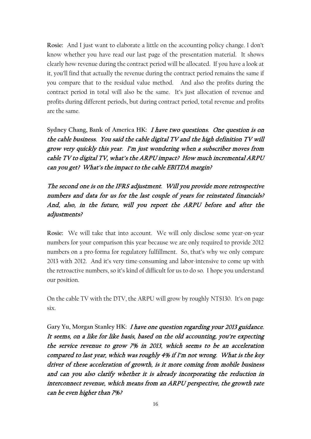**Rosie:** And I just want to elaborate a little on the accounting policy change. I don't know whether you have read our last page of the presentation material. It shows clearly how revenue during the contract period will be allocated. If you have a look at it, you'll find that actually the revenue during the contract period remains the same if you compare that to the residual value method. And also the profits during the contract period in total will also be the same. It's just allocation of revenue and profits during different periods, but during contract period, total revenue and profits are the same.

**Sydney Chang, Bank of America HK:** I have two questions. One question is on the cable business. You said the cable digital TV and the high definition TV will grow very quickly this year. I'm just wondering when a subscriber moves from cable TV to digital TV, what's the ARPU impact? How much incremental ARPU can you get? What's the impact to the cable EBITDA margin?

The second one is on the IFRS adjustment. Will you provide more retrospective numbers and data for us for the last couple of years for reinstated financials? And, also, in the future, will you report the ARPU before and after the adjustments?

**Rosie:** We will take that into account. We will only disclose some year-on-year numbers for your comparison this year because we are only required to provide 2012 numbers on a pro-forma for regulatory fulfillment. So, that's why we only compare 2013 with 2012. And it's very time-consuming and labor-intensive to come up with the retroactive numbers, so it's kind of difficult for us to do so. I hope you understand our position.

On the cable TV with the DTV, the ARPU will grow by roughly NT\$130. It's on page six.

**Gary Yu, Morgan Stanley HK:** I have one question regarding your 2013 guidance. It seems, on a like for like basis, based on the old accounting, you're expecting the service revenue to grow 7% in 2013, which seems to be an acceleration compared to last year, which was roughly 4% if I'm not wrong. What is the key driver of these acceleration of growth, is it more coming from mobile business and can you also clarify whether it is already incorporating the reduction in interconnect revenue, which means from an ARPU perspective, the growth rate can be even higher than 7%?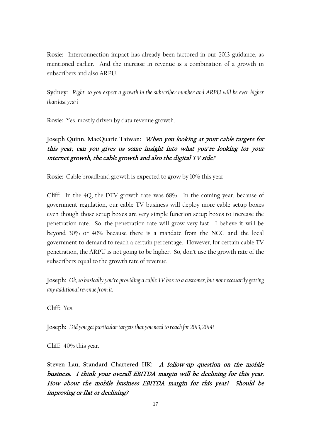**Rosie:** Interconnection impact has already been factored in our 2013 guidance, as mentioned earlier. And the increase in revenue is a combination of a growth in subscribers and also ARPU.

**Sydney:** *Right, so you expect a growth in the subscriber number and ARPU will be even higher than last year?*

**Rosie:** Yes, mostly driven by data revenue growth.

**Joseph Quinn, MacQuarie Taiwan:** When you looking at your cable targets for this year, can you gives us some insight into what you're looking for your internet growth, the cable growth and also the digital TV side?

**Rosie:** Cable broadband growth is expected to grow by 10% this year.

**Cliff:** In the 4Q, the DTV growth rate was 68%. In the coming year, because of government regulation, our cable TV business will deploy more cable setup boxes even though those setup boxes are very simple function setup boxes to increase the penetration rate. So, the penetration rate will grow very fast. I believe it will be beyond 30% or 40% because there is a mandate from the NCC and the local government to demand to reach a certain percentage. However, for certain cable TV penetration, the ARPU is not going to be higher. So, don't use the growth rate of the subscribers equal to the growth rate of revenue.

**Joseph:** *Ok, so basically you're providing a cable TV box to a customer, but not necessarily getting any additional revenue from it.*

**Cliff:** Yes.

**Joseph:** *Did you get particular targets that you need to reach for 2013, 2014?*

**Cliff:** 40% this year.

**Steven Lau, Standard Chartered HK:** A follow-up question on the mobile business. I think your overall EBITDA margin will be declining for this year. How about the mobile business EBITDA margin for this year? Should be improving or flat or declining?